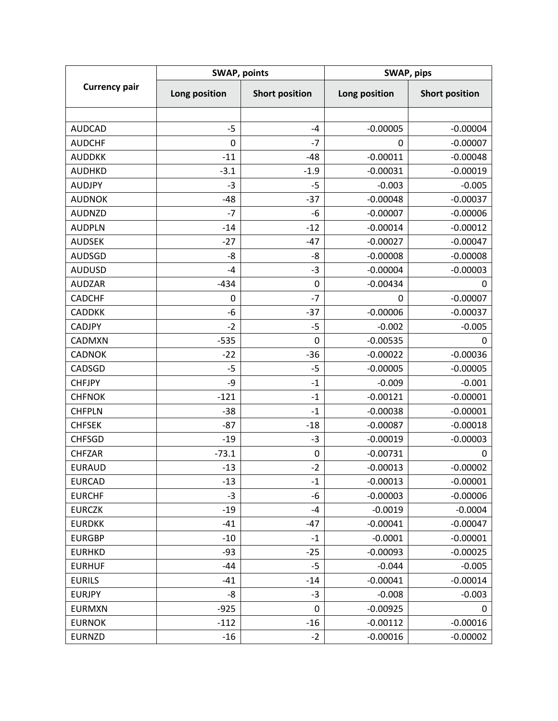| <b>Currency pair</b> | <b>SWAP, points</b>  |                       | SWAP, pips    |                       |
|----------------------|----------------------|-----------------------|---------------|-----------------------|
|                      | <b>Long position</b> | <b>Short position</b> | Long position | <b>Short position</b> |
|                      |                      |                       |               |                       |
| <b>AUDCAD</b>        | $-5$                 | $-4$                  | $-0.00005$    | $-0.00004$            |
| <b>AUDCHF</b>        | $\mathbf 0$          | $-7$                  | 0             | $-0.00007$            |
| <b>AUDDKK</b>        | $-11$                | $-48$                 | $-0.00011$    | $-0.00048$            |
| <b>AUDHKD</b>        | $-3.1$               | $-1.9$                | $-0.00031$    | $-0.00019$            |
| <b>AUDJPY</b>        | $-3$                 | $-5$                  | $-0.003$      | $-0.005$              |
| <b>AUDNOK</b>        | $-48$                | $-37$                 | $-0.00048$    | $-0.00037$            |
| <b>AUDNZD</b>        | $-7$                 | -6                    | $-0.00007$    | $-0.00006$            |
| <b>AUDPLN</b>        | $-14$                | $-12$                 | $-0.00014$    | $-0.00012$            |
| <b>AUDSEK</b>        | $-27$                | $-47$                 | $-0.00027$    | $-0.00047$            |
| <b>AUDSGD</b>        | -8                   | -8                    | $-0.00008$    | $-0.00008$            |
| <b>AUDUSD</b>        | $-4$                 | $-3$                  | $-0.00004$    | $-0.00003$            |
| <b>AUDZAR</b>        | $-434$               | $\pmb{0}$             | $-0.00434$    | 0                     |
| <b>CADCHF</b>        | 0                    | $-7$                  | 0             | $-0.00007$            |
| <b>CADDKK</b>        | $-6$                 | $-37$                 | $-0.00006$    | $-0.00037$            |
| <b>CADJPY</b>        | $-2$                 | $-5$                  | $-0.002$      | $-0.005$              |
| <b>CADMXN</b>        | $-535$               | $\mathbf 0$           | $-0.00535$    | 0                     |
| <b>CADNOK</b>        | $-22$                | $-36$                 | $-0.00022$    | $-0.00036$            |
| CADSGD               | $-5$                 | $-5$                  | $-0.00005$    | $-0.00005$            |
| <b>CHFJPY</b>        | -9                   | $-1$                  | $-0.009$      | $-0.001$              |
| <b>CHFNOK</b>        | $-121$               | $-1$                  | $-0.00121$    | $-0.00001$            |
| <b>CHFPLN</b>        | $-38$                | $-1$                  | $-0.00038$    | $-0.00001$            |
| <b>CHFSEK</b>        | $-87$                | $-18$                 | $-0.00087$    | $-0.00018$            |
| <b>CHFSGD</b>        | $-19$                | $-3$                  | $-0.00019$    | $-0.00003$            |
| <b>CHFZAR</b>        | $-73.1$              | $\boldsymbol{0}$      | $-0.00731$    | 0                     |
| <b>EURAUD</b>        | $-13$                | $-2$                  | $-0.00013$    | $-0.00002$            |
| <b>EURCAD</b>        | $-13$                | $-1$                  | $-0.00013$    | $-0.00001$            |
| <b>EURCHF</b>        | $-3$                 | -6                    | $-0.00003$    | $-0.00006$            |
| <b>EURCZK</b>        | $-19$                | -4                    | $-0.0019$     | $-0.0004$             |
| <b>EURDKK</b>        | $-41$                | $-47$                 | $-0.00041$    | $-0.00047$            |
| <b>EURGBP</b>        | $-10$                | $-1$                  | $-0.0001$     | $-0.00001$            |
| <b>EURHKD</b>        | $-93$                | $-25$                 | $-0.00093$    | $-0.00025$            |
| <b>EURHUF</b>        | -44                  | $-5$                  | $-0.044$      | $-0.005$              |
| <b>EURILS</b>        | -41                  | $-14$                 | $-0.00041$    | $-0.00014$            |
| <b>EURJPY</b>        | -8                   | $-3$                  | $-0.008$      | $-0.003$              |
| <b>EURMXN</b>        | $-925$               | 0                     | $-0.00925$    | 0                     |
| <b>EURNOK</b>        | $-112$               | $-16$                 | $-0.00112$    | $-0.00016$            |
| <b>EURNZD</b>        | $-16$                | $-2$                  | $-0.00016$    | $-0.00002$            |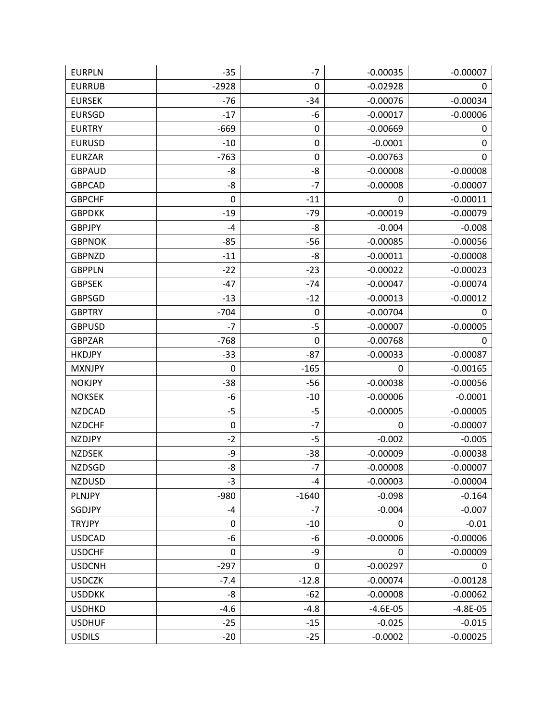| <b>EURPLN</b> | $-35$     | $-7$        | $-0.00035$ | $-0.00007$ |
|---------------|-----------|-------------|------------|------------|
| <b>EURRUB</b> | $-2928$   | 0           | $-0.02928$ | 0          |
| <b>EURSEK</b> | $-76$     | $-34$       | $-0.00076$ | $-0.00034$ |
| <b>EURSGD</b> | $-17$     | -6          | $-0.00017$ | $-0.00006$ |
| <b>EURTRY</b> | $-669$    | 0           | $-0.00669$ | 0          |
| <b>EURUSD</b> | $-10$     | 0           | $-0.0001$  | 0          |
| <b>EURZAR</b> | $-763$    | 0           | $-0.00763$ | 0          |
| <b>GBPAUD</b> | -8        | -8          | $-0.00008$ | $-0.00008$ |
| <b>GBPCAD</b> | -8        | $-7$        | $-0.00008$ | $-0.00007$ |
| <b>GBPCHF</b> | 0         | $-11$       | 0          | $-0.00011$ |
| <b>GBPDKK</b> | $-19$     | $-79$       | $-0.00019$ | $-0.00079$ |
| <b>GBPJPY</b> | $-4$      | -8          | $-0.004$   | $-0.008$   |
| <b>GBPNOK</b> | $-85$     | $-56$       | $-0.00085$ | $-0.00056$ |
| <b>GBPNZD</b> | $-11$     | -8          | $-0.00011$ | $-0.00008$ |
| <b>GBPPLN</b> | $-22$     | $-23$       | $-0.00022$ | $-0.00023$ |
| <b>GBPSEK</b> | $-47$     | $-74$       | $-0.00047$ | $-0.00074$ |
| <b>GBPSGD</b> | $-13$     | $-12$       | $-0.00013$ | $-0.00012$ |
| <b>GBPTRY</b> | $-704$    | 0           | $-0.00704$ | 0          |
| <b>GBPUSD</b> | $-7$      | $-5$        | $-0.00007$ | $-0.00005$ |
| <b>GBPZAR</b> | $-768$    | 0           | $-0.00768$ | 0          |
| <b>HKDJPY</b> | $-33$     | $-87$       | $-0.00033$ | $-0.00087$ |
| <b>MXNJPY</b> | 0         | $-165$      | 0          | $-0.00165$ |
| <b>NOKJPY</b> | $-38$     | $-56$       | $-0.00038$ | $-0.00056$ |
| <b>NOKSEK</b> | -6        | $-10$       | $-0.00006$ | $-0.0001$  |
| <b>NZDCAD</b> | $-5$      | -5          | $-0.00005$ | $-0.00005$ |
| <b>NZDCHF</b> | $\pmb{0}$ | $-7$        | 0          | $-0.00007$ |
| <b>NZDJPY</b> | $-2$      | $-5$        | $-0.002$   | $-0.005$   |
| <b>NZDSEK</b> | -9        | $-38$       | $-0.00009$ | $-0.00038$ |
| <b>NZDSGD</b> | -8        | $-7$        | $-0.00008$ | $-0.00007$ |
| <b>NZDUSD</b> | $-3$      | $-4$        | $-0.00003$ | $-0.00004$ |
| PLNJPY        | $-980$    | $-1640$     | $-0.098$   | $-0.164$   |
| SGDJPY        | $-4$      | $-7$        | $-0.004$   | $-0.007$   |
| <b>TRYJPY</b> | $\pmb{0}$ | $-10$       | 0          | $-0.01$    |
| <b>USDCAD</b> | -6        | -6          | $-0.00006$ | $-0.00006$ |
| <b>USDCHF</b> | 0         | -9          | 0          | $-0.00009$ |
| <b>USDCNH</b> | $-297$    | $\mathbf 0$ | $-0.00297$ | 0          |
| <b>USDCZK</b> | $-7.4$    | $-12.8$     | $-0.00074$ | $-0.00128$ |
| <b>USDDKK</b> | -8        | $-62$       | $-0.00008$ | $-0.00062$ |
| <b>USDHKD</b> | $-4.6$    | $-4.8$      | $-4.6E-05$ | $-4.8E-05$ |
| <b>USDHUF</b> | $-25$     | $-15$       | $-0.025$   | $-0.015$   |
| <b>USDILS</b> | $-20$     | $-25$       | $-0.0002$  | $-0.00025$ |